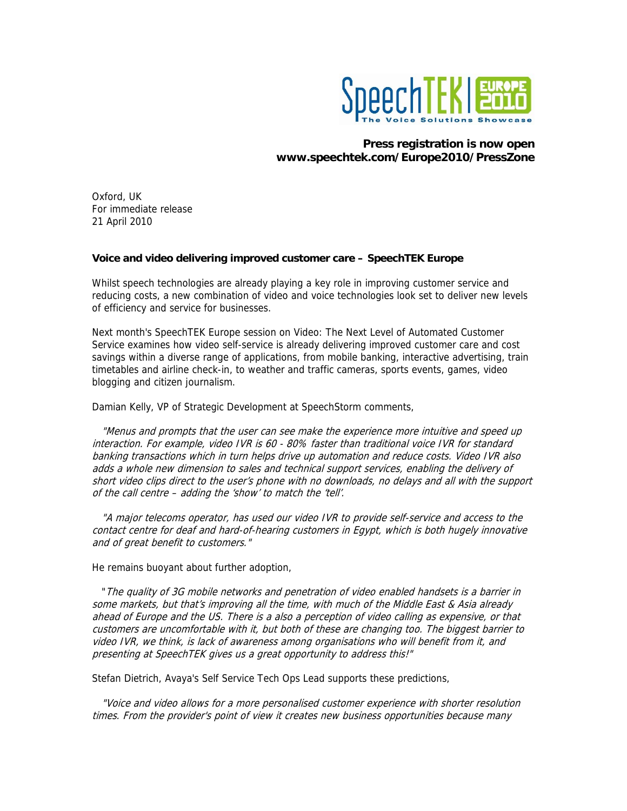

## **Press registration is now open www.speechtek.com/Europe2010/PressZone**

Oxford, UK For immediate release 21 April 2010

## **Voice and video delivering improved customer care – SpeechTEK Europe**

Whilst speech technologies are already playing a key role in improving customer service and reducing costs, a new combination of video and voice technologies look set to deliver new levels of efficiency and service for businesses.

Next month's SpeechTEK Europe session on Video: The Next Level of Automated Customer Service examines how video self-service is already delivering improved customer care and cost savings within a diverse range of applications, from mobile banking, interactive advertising, train timetables and airline check-in, to weather and traffic cameras, sports events, games, video blogging and citizen journalism.

Damian Kelly, VP of Strategic Development at SpeechStorm comments,

 "Menus and prompts that the user can see make the experience more intuitive and speed up interaction. For example, video IVR is 60 - 80% faster than traditional voice IVR for standard banking transactions which in turn helps drive up automation and reduce costs. Video IVR also adds a whole new dimension to sales and technical support services, enabling the delivery of short video clips direct to the user's phone with no downloads, no delays and all with the support of the call centre – adding the 'show' to match the 'tell'.

 "A major telecoms operator, has used our video IVR to provide self-service and access to the contact centre for deaf and hard-of-hearing customers in Egypt, which is both hugely innovative and of great benefit to customers."

He remains buoyant about further adoption,

 "The quality of 3G mobile networks and penetration of video enabled handsets is a barrier in some markets, but that's improving all the time, with much of the Middle East & Asia already ahead of Europe and the US. There is a also a perception of video calling as expensive, or that customers are uncomfortable with it, but both of these are changing too. The biggest barrier to video IVR, we think, is lack of awareness among organisations who will benefit from it, and presenting at SpeechTEK gives us a great opportunity to address this!"

Stefan Dietrich, Avaya's Self Service Tech Ops Lead supports these predictions,

 "Voice and video allows for a more personalised customer experience with shorter resolution times. From the provider's point of view it creates new business opportunities because many